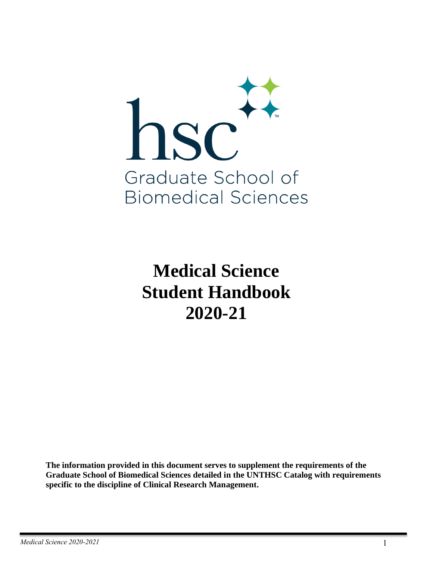

**Medical Science Student Handbook 2020-21**

**The information provided in this document serves to supplement the requirements of the Graduate School of Biomedical Sciences detailed in the UNTHSC Catalog with requirements specific to the discipline of Clinical Research Management.**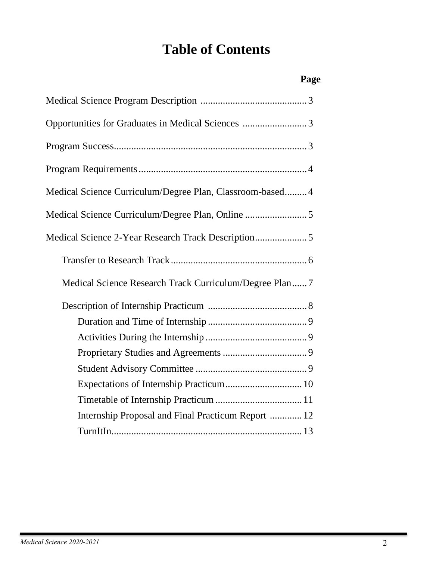# **Table of Contents**

# **Page**

| Opportunities for Graduates in Medical Sciences 3         |
|-----------------------------------------------------------|
|                                                           |
|                                                           |
| Medical Science Curriculum/Degree Plan, Classroom-based 4 |
| Medical Science Curriculum/Degree Plan, Online 5          |
|                                                           |
|                                                           |
| Medical Science Research Track Curriculum/Degree Plan7    |
|                                                           |
|                                                           |
|                                                           |
|                                                           |
|                                                           |
|                                                           |
|                                                           |
| Internship Proposal and Final Practicum Report  12        |
|                                                           |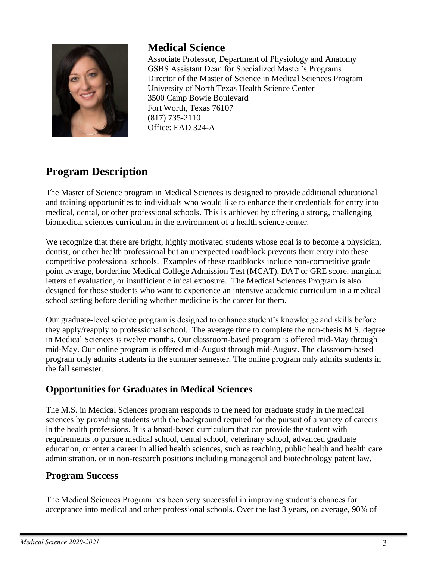

## **Medical Science**

Associate Professor, Department of Physiology and Anatomy GSBS Assistant Dean for Specialized Master's Programs Director of the Master of Science in Medical Sciences Program University of North Texas Health Science Center 3500 Camp Bowie Boulevard Fort Worth, Texas 76107  $(817)$  735-2110 Office: EAD 324-A

# **Program Description**

The Master of Science program in Medical Sciences is designed to provide additional educational and training opportunities to individuals who would like to enhance their credentials for entry into medical, dental, or other professional schools. This is achieved by offering a strong, challenging biomedical sciences curriculum in the environment of a health science center.

We recognize that there are bright, highly motivated students whose goal is to become a physician, dentist, or other health professional but an unexpected roadblock prevents their entry into these competitive professional schools. Examples of these roadblocks include non-competitive grade point average, borderline Medical College Admission Test (MCAT), DAT or GRE score, marginal letters of evaluation, or insufficient clinical exposure. The Medical Sciences Program is also designed for those students who want to experience an intensive academic curriculum in a medical school setting before deciding whether medicine is the career for them.

Our graduate-level science program is designed to enhance student's knowledge and skills before they apply/reapply to professional school. The average time to complete the non-thesis M.S. degree in Medical Sciences is twelve months. Our classroom-based program is offered mid-May through mid-May. Our online program is offered mid-August through mid-August. The classroom-based program only admits students in the summer semester. The online program only admits students in the fall semester.

### **Opportunities for Graduates in Medical Sciences**

The M.S. in Medical Sciences program responds to the need for graduate study in the medical sciences by providing students with the background required for the pursuit of a variety of careers in the health professions. It is a broad-based curriculum that can provide the student with requirements to pursue medical school, dental school, veterinary school, advanced graduate education, or enter a career in allied health sciences, such as teaching, public health and health care administration, or in non-research positions including managerial and biotechnology patent law.

### **Program Success**

The Medical Sciences Program has been very successful in improving student's chances for acceptance into medical and other professional schools. Over the last 3 years, on average, 90% of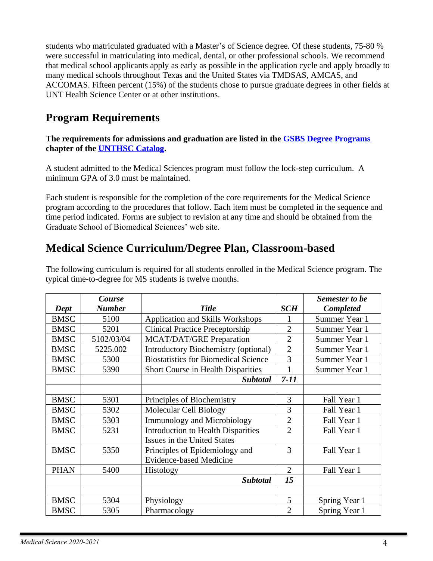students who matriculated graduated with a Master's of Science degree. Of these students, 75-80 % were successful in matriculating into medical, dental, or other professional schools. We recommend that medical school applicants apply as early as possible in the application cycle and apply broadly to many medical schools throughout Texas and the United States via TMDSAS, AMCAS, and ACCOMAS. Fifteen percent (15%) of the students chose to pursue graduate degrees in other fields at UNT Health Science Center or at other institutions.

# **Program Requirements**

#### **The requirements for admissions and graduation are listed in the [GSBS Degree Programs](http://catalog.unthsc.edu/content.php?catoid=6&navoid=655)  chapter of the [UNTHSC Catalog.](http://catalog.unthsc.edu/)**

A student admitted to the Medical Sciences program must follow the lock-step curriculum. A minimum GPA of 3.0 must be maintained.

Each student is responsible for the completion of the core requirements for the Medical Science program according to the procedures that follow. Each item must be completed in the sequence and time period indicated. Forms are subject to revision at any time and should be obtained from the Graduate School of Biomedical Sciences' web site.

# **Medical Science Curriculum/Degree Plan, Classroom-based**

|             | Course        |                                             |                | <b>Semester to be</b> |
|-------------|---------------|---------------------------------------------|----------------|-----------------------|
| Dept        | <b>Number</b> | <b>Title</b>                                | <b>SCH</b>     | <b>Completed</b>      |
| <b>BMSC</b> | 5100          | Application and Skills Workshops            | 1              | Summer Year 1         |
| <b>BMSC</b> | 5201          | <b>Clinical Practice Preceptorship</b>      | $\overline{2}$ | Summer Year 1         |
| <b>BMSC</b> | 5102/03/04    | <b>MCAT/DAT/GRE Preparation</b>             | $\overline{2}$ | Summer Year 1         |
| <b>BMSC</b> | 5225.002      | Introductory Biochemistry (optional)        | $\overline{2}$ | Summer Year 1         |
| <b>BMSC</b> | 5300          | <b>Biostatistics for Biomedical Science</b> | 3              | Summer Year 1         |
| <b>BMSC</b> | 5390          | Short Course in Health Disparities          | 1              | Summer Year 1         |
|             |               | <b>Subtotal</b>                             | $7 - 11$       |                       |
|             |               |                                             |                |                       |
| <b>BMSC</b> | 5301          | Principles of Biochemistry                  | 3              | Fall Year 1           |
| <b>BMSC</b> | 5302          | <b>Molecular Cell Biology</b>               | 3              | Fall Year 1           |
| <b>BMSC</b> | 5303          | <b>Immunology and Microbiology</b>          | $\overline{2}$ | Fall Year 1           |
| <b>BMSC</b> | 5231          | <b>Introduction to Health Disparities</b>   | $\overline{2}$ | Fall Year 1           |
|             |               | Issues in the United States                 |                |                       |
| <b>BMSC</b> | 5350          | Principles of Epidemiology and              | 3              | Fall Year 1           |
|             |               | <b>Evidence-based Medicine</b>              |                |                       |
| <b>PHAN</b> | 5400          | Histology                                   | $\overline{2}$ | Fall Year 1           |
|             |               | <b>Subtotal</b>                             | 15             |                       |
|             |               |                                             |                |                       |
| <b>BMSC</b> | 5304          | Physiology                                  | 5              | Spring Year 1         |
| <b>BMSC</b> | 5305          | Pharmacology                                | $\overline{2}$ | Spring Year 1         |

The following curriculum is required for all students enrolled in the Medical Science program. The typical time-to-degree for MS students is twelve months.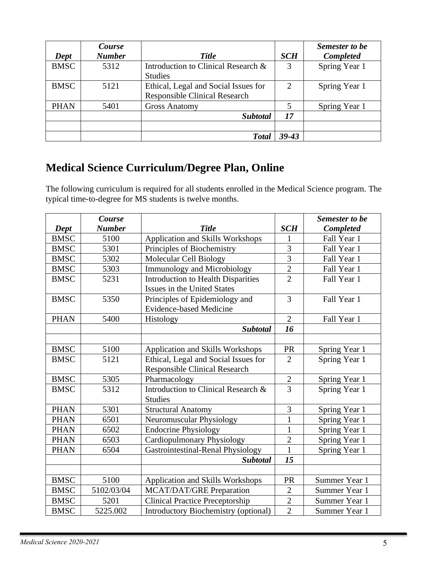|             | Course<br><b>Number</b> |                                      |                             | Semester to be   |
|-------------|-------------------------|--------------------------------------|-----------------------------|------------------|
| Dept        |                         | <b>Title</b>                         | <b>SCH</b>                  | <b>Completed</b> |
| <b>BMSC</b> | 5312                    | Introduction to Clinical Research &  | 3                           | Spring Year 1    |
|             |                         | <b>Studies</b>                       |                             |                  |
| <b>BMSC</b> | 5121                    | Ethical, Legal and Social Issues for | $\mathcal{D}_{\mathcal{L}}$ | Spring Year 1    |
|             |                         | <b>Responsible Clinical Research</b> |                             |                  |
| <b>PHAN</b> | 5401                    | <b>Gross Anatomy</b>                 |                             | Spring Year 1    |
|             |                         | <b>Subtotal</b>                      | 17                          |                  |
|             |                         |                                      |                             |                  |
|             |                         | <b>Total</b>                         | $39 - 43$                   |                  |

# **Medical Science Curriculum/Degree Plan, Online**

The following curriculum is required for all students enrolled in the Medical Science program. The typical time-to-degree for MS students is twelve months.

|             | <b>Course</b> |                                           |                | <b>Semester to be</b> |
|-------------|---------------|-------------------------------------------|----------------|-----------------------|
| Dept        | <b>Number</b> | <b>Title</b>                              | <b>SCH</b>     | Completed             |
| <b>BMSC</b> | 5100          | Application and Skills Workshops          | 1              | Fall Year 1           |
| <b>BMSC</b> | 5301          | Principles of Biochemistry                | 3              | Fall Year 1           |
| <b>BMSC</b> | 5302          | Molecular Cell Biology                    | $\overline{3}$ | Fall Year 1           |
| <b>BMSC</b> | 5303          | <b>Immunology and Microbiology</b>        | $\overline{2}$ | Fall Year 1           |
| <b>BMSC</b> | 5231          | <b>Introduction to Health Disparities</b> | $\overline{2}$ | Fall Year 1           |
|             |               | Issues in the United States               |                |                       |
| <b>BMSC</b> | 5350          | Principles of Epidemiology and            | $\overline{3}$ | Fall Year 1           |
|             |               | <b>Evidence-based Medicine</b>            |                |                       |
| <b>PHAN</b> | 5400          | Histology                                 | $\overline{2}$ | Fall Year 1           |
|             |               | <b>Subtotal</b>                           | 16             |                       |
|             |               |                                           |                |                       |
| <b>BMSC</b> | 5100          | Application and Skills Workshops          | PR             | Spring Year 1         |
| <b>BMSC</b> | 5121          | Ethical, Legal and Social Issues for      | $\overline{2}$ | Spring Year 1         |
|             |               | <b>Responsible Clinical Research</b>      |                |                       |
| <b>BMSC</b> | 5305          | Pharmacology                              | $\overline{2}$ | Spring Year 1         |
| <b>BMSC</b> | 5312          | Introduction to Clinical Research &       | $\overline{3}$ | Spring Year 1         |
|             |               | <b>Studies</b>                            |                |                       |
| <b>PHAN</b> | 5301          | <b>Structural Anatomy</b>                 | $\mathfrak{Z}$ | Spring Year 1         |
| <b>PHAN</b> | 6501          | Neuromuscular Physiology                  | $\mathbf{1}$   | Spring Year 1         |
| <b>PHAN</b> | 6502          | <b>Endocrine Physiology</b>               | $\mathbf{1}$   | Spring Year 1         |
| <b>PHAN</b> | 6503          | <b>Cardiopulmonary Physiology</b>         | $\overline{2}$ | Spring Year 1         |
| <b>PHAN</b> | 6504          | Gastrointestinal-Renal Physiology         | $\mathbf{1}$   | Spring Year 1         |
|             |               | <b>Subtotal</b>                           | 15             |                       |
|             |               |                                           |                |                       |
| <b>BMSC</b> | 5100          | Application and Skills Workshops          | PR             | Summer Year 1         |
| <b>BMSC</b> | 5102/03/04    | <b>MCAT/DAT/GRE Preparation</b>           | $\overline{2}$ | Summer Year 1         |
| <b>BMSC</b> | 5201          | <b>Clinical Practice Preceptorship</b>    | $\overline{2}$ | Summer Year 1         |
| <b>BMSC</b> | 5225.002      | Introductory Biochemistry (optional)      | $\overline{2}$ | Summer Year 1         |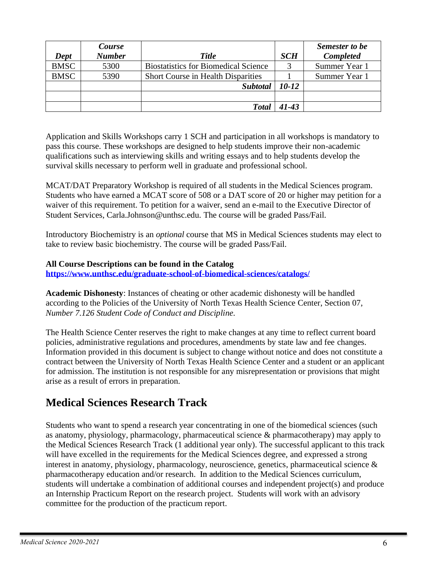|             | Course        |                                             |            | Semester to be   |
|-------------|---------------|---------------------------------------------|------------|------------------|
| Dept        | <b>Number</b> | <b>Title</b>                                | <b>SCH</b> | <b>Completed</b> |
| <b>BMSC</b> | 5300          | <b>Biostatistics for Biomedical Science</b> |            | Summer Year 1    |
| <b>BMSC</b> | 5390          | <b>Short Course in Health Disparities</b>   |            | Summer Year 1    |
|             |               | <b>Subtotal</b>                             | 10-12      |                  |
|             |               |                                             |            |                  |
|             |               | <b>Total</b>                                | $41 - 43$  |                  |

Application and Skills Workshops carry 1 SCH and participation in all workshops is mandatory to pass this course. These workshops are designed to help students improve their non-academic qualifications such as interviewing skills and writing essays and to help students develop the survival skills necessary to perform well in graduate and professional school.

MCAT/DAT Preparatory Workshop is required of all students in the Medical Sciences program. Students who have earned a MCAT score of 508 or a DAT score of 20 or higher may petition for a waiver of this requirement. To petition for a waiver, send an e-mail to the Executive Director of Student Services, Carla.Johnson@unthsc.edu. The course will be graded Pass/Fail.

Introductory Biochemistry is an *optional* course that MS in Medical Sciences students may elect to take to review basic biochemistry. The course will be graded Pass/Fail.

#### **All Course Descriptions can be found in the Catalog**

**<https://www.unthsc.edu/graduate-school-of-biomedical-sciences/catalogs/>**

**Academic Dishonesty**: Instances of cheating or other academic dishonesty will be handled according to the Policies of the University of North Texas Health Science Center, Section 07, *Number 7.126 Student Code of Conduct and Discipline.*

The Health Science Center reserves the right to make changes at any time to reflect current board policies, administrative regulations and procedures, amendments by state law and fee changes. Information provided in this document is subject to change without notice and does not constitute a contract between the University of North Texas Health Science Center and a student or an applicant for admission. The institution is not responsible for any misrepresentation or provisions that might arise as a result of errors in preparation.

### **Medical Sciences Research Track**

Students who want to spend a research year concentrating in one of the biomedical sciences (such as anatomy, physiology, pharmacology, pharmaceutical science & pharmacotherapy) may apply to the Medical Sciences Research Track (1 additional year only). The successful applicant to this track will have excelled in the requirements for the Medical Sciences degree, and expressed a strong interest in anatomy, physiology, pharmacology, neuroscience, genetics, pharmaceutical science & pharmacotherapy education and/or research. In addition to the Medical Sciences curriculum, students will undertake a combination of additional courses and independent project(s) and produce an Internship Practicum Report on the research project. Students will work with an advisory committee for the production of the practicum report.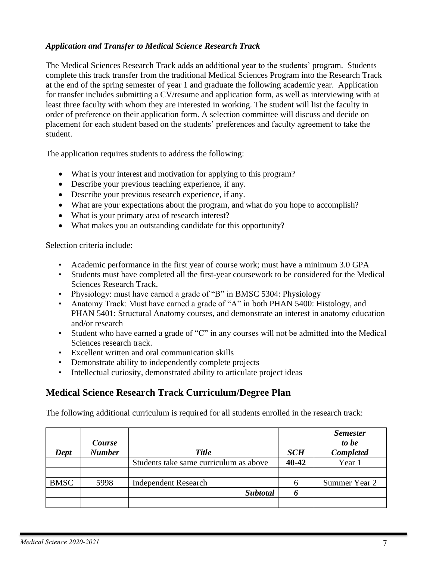#### *Application and Transfer to Medical Science Research Track*

The Medical Sciences Research Track adds an additional year to the students' program. Students complete this track transfer from the traditional Medical Sciences Program into the Research Track at the end of the spring semester of year 1 and graduate the following academic year. Application for transfer includes submitting a CV/resume and application form, as well as interviewing with at least three faculty with whom they are interested in working. The student will list the faculty in order of preference on their application form. A selection committee will discuss and decide on placement for each student based on the students' preferences and faculty agreement to take the student.

The application requires students to address the following:

- What is your interest and motivation for applying to this program?
- Describe your previous teaching experience, if any.
- Describe your previous research experience, if any.
- What are your expectations about the program, and what do you hope to accomplish?
- What is your primary area of research interest?
- What makes you an outstanding candidate for this opportunity?

Selection criteria include:

- Academic performance in the first year of course work; must have a minimum 3.0 GPA
- Students must have completed all the first-year coursework to be considered for the Medical Sciences Research Track.
- Physiology: must have earned a grade of "B" in BMSC 5304: Physiology
- Anatomy Track: Must have earned a grade of "A" in both PHAN 5400: Histology, and PHAN 5401: Structural Anatomy courses, and demonstrate an interest in anatomy education and/or research
- Student who have earned a grade of "C" in any courses will not be admitted into the Medical Sciences research track.
- Excellent written and oral communication skills
- Demonstrate ability to independently complete projects
- Intellectual curiosity, demonstrated ability to articulate project ideas

### **Medical Science Research Track Curriculum/Degree Plan**

The following additional curriculum is required for all students enrolled in the research track:

| Dept        | Course<br><b>Number</b> | <b>Title</b>                           | <b>SCH</b> | <b>Semester</b><br>to be<br><b>Completed</b> |
|-------------|-------------------------|----------------------------------------|------------|----------------------------------------------|
|             |                         | Students take same curriculum as above | 40-42      | Year 1                                       |
|             |                         |                                        |            |                                              |
| <b>BMSC</b> | 5998                    | <b>Independent Research</b>            |            | Summer Year 2                                |
|             |                         | <b>Subtotal</b>                        |            |                                              |
|             |                         |                                        |            |                                              |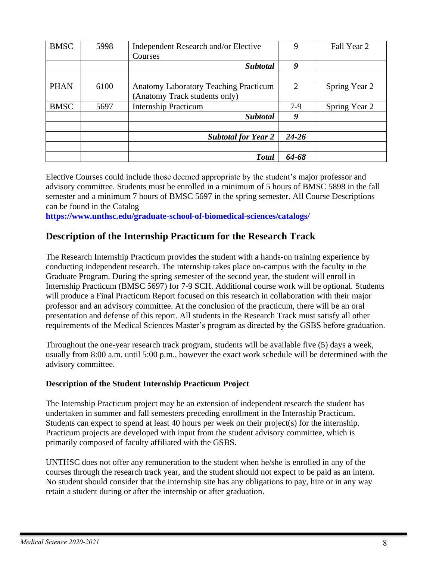| <b>BMSC</b> | 5998 | Independent Research and/or Elective         | 9                           | Fall Year 2   |
|-------------|------|----------------------------------------------|-----------------------------|---------------|
|             |      | Courses                                      |                             |               |
|             |      | <b>Subtotal</b>                              | 9                           |               |
|             |      |                                              |                             |               |
| <b>PHAN</b> | 6100 | <b>Anatomy Laboratory Teaching Practicum</b> | $\mathcal{D}_{\mathcal{L}}$ | Spring Year 2 |
|             |      | (Anatomy Track students only)                |                             |               |
| <b>BMSC</b> | 5697 | <b>Internship Practicum</b>                  | $7-9$                       | Spring Year 2 |
|             |      | <b>Subtotal</b>                              | 9                           |               |
|             |      |                                              |                             |               |
|             |      | <b>Subtotal for Year 2</b>                   | $24 - 26$                   |               |
|             |      |                                              |                             |               |
|             |      | <b>Total</b>                                 | 64-68                       |               |

Elective Courses could include those deemed appropriate by the student's major professor and advisory committee. Students must be enrolled in a minimum of 5 hours of BMSC 5898 in the fall semester and a minimum 7 hours of BMSC 5697 in the spring semester. All Course Descriptions can be found in the Catalog

**<https://www.unthsc.edu/graduate-school-of-biomedical-sciences/catalogs/>**

### **Description of the Internship Practicum for the Research Track**

The Research Internship Practicum provides the student with a hands-on training experience by conducting independent research. The internship takes place on-campus with the faculty in the Graduate Program. During the spring semester of the second year, the student will enroll in Internship Practicum (BMSC 5697) for 7-9 SCH. Additional course work will be optional. Students will produce a Final Practicum Report focused on this research in collaboration with their major professor and an advisory committee. At the conclusion of the practicum, there will be an oral presentation and defense of this report. All students in the Research Track must satisfy all other requirements of the Medical Sciences Master's program as directed by the GSBS before graduation.

Throughout the one-year research track program, students will be available five (5) days a week, usually from 8:00 a.m. until 5:00 p.m., however the exact work schedule will be determined with the advisory committee.

#### **Description of the Student Internship Practicum Project**

The Internship Practicum project may be an extension of independent research the student has undertaken in summer and fall semesters preceding enrollment in the Internship Practicum. Students can expect to spend at least 40 hours per week on their project(s) for the internship. Practicum projects are developed with input from the student advisory committee, which is primarily composed of faculty affiliated with the GSBS.

UNTHSC does not offer any remuneration to the student when he/she is enrolled in any of the courses through the research track year, and the student should not expect to be paid as an intern. No student should consider that the internship site has any obligations to pay, hire or in any way retain a student during or after the internship or after graduation.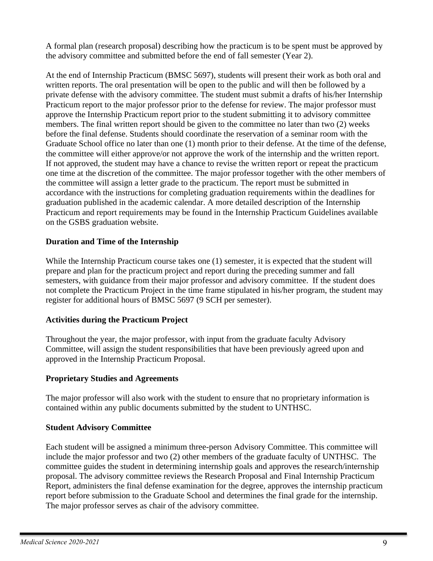A formal plan (research proposal) describing how the practicum is to be spent must be approved by the advisory committee and submitted before the end of fall semester (Year 2).

At the end of Internship Practicum (BMSC 5697), students will present their work as both oral and written reports. The oral presentation will be open to the public and will then be followed by a private defense with the advisory committee. The student must submit a drafts of his/her Internship Practicum report to the major professor prior to the defense for review. The major professor must approve the Internship Practicum report prior to the student submitting it to advisory committee members. The final written report should be given to the committee no later than two (2) weeks before the final defense. Students should coordinate the reservation of a seminar room with the Graduate School office no later than one (1) month prior to their defense. At the time of the defense, the committee will either approve/or not approve the work of the internship and the written report. If not approved, the student may have a chance to revise the written report or repeat the practicum one time at the discretion of the committee. The major professor together with the other members of the committee will assign a letter grade to the practicum. The report must be submitted in accordance with the instructions for completing graduation requirements within the deadlines for graduation published in the academic calendar. A more detailed description of the Internship Practicum and report requirements may be found in the Internship Practicum Guidelines available on the GSBS graduation website.

#### **Duration and Time of the Internship**

While the Internship Practicum course takes one (1) semester, it is expected that the student will prepare and plan for the practicum project and report during the preceding summer and fall semesters, with guidance from their major professor and advisory committee. If the student does not complete the Practicum Project in the time frame stipulated in his/her program, the student may register for additional hours of BMSC 5697 (9 SCH per semester).

#### **Activities during the Practicum Project**

Throughout the year, the major professor, with input from the graduate faculty Advisory Committee, will assign the student responsibilities that have been previously agreed upon and approved in the Internship Practicum Proposal.

#### **Proprietary Studies and Agreements**

The major professor will also work with the student to ensure that no proprietary information is contained within any public documents submitted by the student to UNTHSC.

#### **Student Advisory Committee**

Each student will be assigned a minimum three-person Advisory Committee. This committee will include the major professor and two (2) other members of the graduate faculty of UNTHSC. The committee guides the student in determining internship goals and approves the research/internship proposal. The advisory committee reviews the Research Proposal and Final Internship Practicum Report, administers the final defense examination for the degree, approves the internship practicum report before submission to the Graduate School and determines the final grade for the internship. The major professor serves as chair of the advisory committee.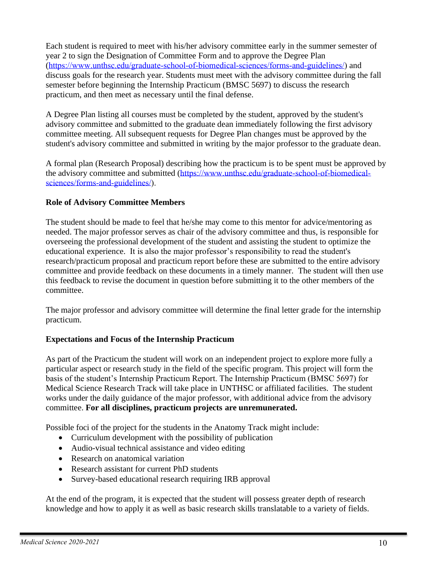Each student is required to meet with his/her advisory committee early in the summer semester of year 2 to sign the Designation of Committee Form and to approve the Degree Plan ([https://www.unthsc.edu/graduate-school-of-biomedical-sciences/forms-and-guidelines/\)](https://www.unthsc.edu/graduate-school-of-biomedical-sciences/forms-and-guidelines/) and discuss goals for the research year. Students must meet with the advisory committee during the fall semester before beginning the Internship Practicum (BMSC 5697) to discuss the research practicum, and then meet as necessary until the final defense.

A Degree Plan listing all courses must be completed by the student, approved by the student's advisory committee and submitted to the graduate dean immediately following the first advisory committee meeting. All subsequent requests for Degree Plan changes must be approved by the student's advisory committee and submitted in writing by the major professor to the graduate dean.

A formal plan (Research Proposal) describing how the practicum is to be spent must be approved by the advisory committee and submitted ([https://www.unthsc.edu/graduate-school-of-biomedical](https://www.unthsc.edu/graduate-school-of-biomedical-sciences/forms-and-guidelines/)[sciences/forms-and-guidelines/\)](https://www.unthsc.edu/graduate-school-of-biomedical-sciences/forms-and-guidelines/).

#### **Role of Advisory Committee Members**

The student should be made to feel that he/she may come to this mentor for advice/mentoring as needed. The major professor serves as chair of the advisory committee and thus, is responsible for overseeing the professional development of the student and assisting the student to optimize the educational experience. It is also the major professor's responsibility to read the student's research/practicum proposal and practicum report before these are submitted to the entire advisory committee and provide feedback on these documents in a timely manner. The student will then use this feedback to revise the document in question before submitting it to the other members of the committee.

The major professor and advisory committee will determine the final letter grade for the internship practicum.

#### **Expectations and Focus of the Internship Practicum**

As part of the Practicum the student will work on an independent project to explore more fully a particular aspect or research study in the field of the specific program. This project will form the basis of the student's Internship Practicum Report. The Internship Practicum (BMSC 5697) for Medical Science Research Track will take place in UNTHSC or affiliated facilities. The student works under the daily guidance of the major professor, with additional advice from the advisory committee. **For all disciplines, practicum projects are unremunerated.** 

Possible foci of the project for the students in the Anatomy Track might include:

- Curriculum development with the possibility of publication
- Audio-visual technical assistance and video editing
- Research on anatomical variation
- Research assistant for current PhD students
- Survey-based educational research requiring IRB approval

At the end of the program, it is expected that the student will possess greater depth of research knowledge and how to apply it as well as basic research skills translatable to a variety of fields.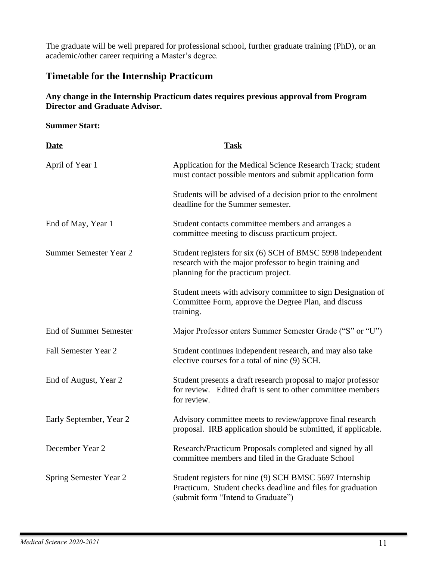The graduate will be well prepared for professional school, further graduate training (PhD), or an academic/other career requiring a Master's degree.

### **Timetable for the Internship Practicum**

#### **Any change in the Internship Practicum dates requires previous approval from Program Director and Graduate Advisor.**

### **Summer Start:**

| <b>Date</b>                   | <b>Task</b>                                                                                                                                                  |
|-------------------------------|--------------------------------------------------------------------------------------------------------------------------------------------------------------|
| April of Year 1               | Application for the Medical Science Research Track; student<br>must contact possible mentors and submit application form                                     |
|                               | Students will be advised of a decision prior to the enrolment<br>deadline for the Summer semester.                                                           |
| End of May, Year 1            | Student contacts committee members and arranges a<br>committee meeting to discuss practicum project.                                                         |
| Summer Semester Year 2        | Student registers for six (6) SCH of BMSC 5998 independent<br>research with the major professor to begin training and<br>planning for the practicum project. |
|                               | Student meets with advisory committee to sign Designation of<br>Committee Form, approve the Degree Plan, and discuss<br>training.                            |
| <b>End of Summer Semester</b> | Major Professor enters Summer Semester Grade ("S" or "U")                                                                                                    |
| Fall Semester Year 2          | Student continues independent research, and may also take<br>elective courses for a total of nine (9) SCH.                                                   |
| End of August, Year 2         | Student presents a draft research proposal to major professor<br>for review. Edited draft is sent to other committee members<br>for review.                  |
| Early September, Year 2       | Advisory committee meets to review/approve final research<br>proposal. IRB application should be submitted, if applicable.                                   |
| December Year 2               | Research/Practicum Proposals completed and signed by all<br>committee members and filed in the Graduate School                                               |
| Spring Semester Year 2        | Student registers for nine (9) SCH BMSC 5697 Internship<br>Practicum. Student checks deadline and files for graduation<br>(submit form "Intend to Graduate") |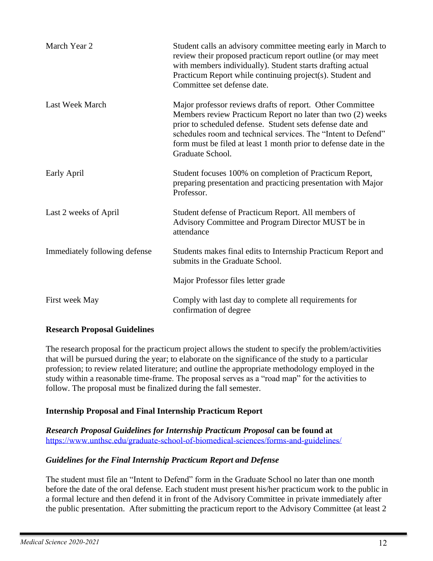| March Year 2                  | Student calls an advisory committee meeting early in March to<br>review their proposed practicum report outline (or may meet<br>with members individually). Student starts drafting actual<br>Practicum Report while continuing project(s). Student and<br>Committee set defense date.                                                         |
|-------------------------------|------------------------------------------------------------------------------------------------------------------------------------------------------------------------------------------------------------------------------------------------------------------------------------------------------------------------------------------------|
| Last Week March               | Major professor reviews drafts of report. Other Committee<br>Members review Practicum Report no later than two (2) weeks<br>prior to scheduled defense. Student sets defense date and<br>schedules room and technical services. The "Intent to Defend"<br>form must be filed at least 1 month prior to defense date in the<br>Graduate School. |
| Early April                   | Student focuses 100% on completion of Practicum Report,<br>preparing presentation and practicing presentation with Major<br>Professor.                                                                                                                                                                                                         |
| Last 2 weeks of April         | Student defense of Practicum Report. All members of<br>Advisory Committee and Program Director MUST be in<br>attendance                                                                                                                                                                                                                        |
| Immediately following defense | Students makes final edits to Internship Practicum Report and<br>submits in the Graduate School.                                                                                                                                                                                                                                               |
|                               | Major Professor files letter grade                                                                                                                                                                                                                                                                                                             |
| First week May                | Comply with last day to complete all requirements for<br>confirmation of degree                                                                                                                                                                                                                                                                |

#### **Research Proposal Guidelines**

The research proposal for the practicum project allows the student to specify the problem/activities that will be pursued during the year; to elaborate on the significance of the study to a particular profession; to review related literature; and outline the appropriate methodology employed in the study within a reasonable time-frame. The proposal serves as a "road map" for the activities to follow. The proposal must be finalized during the fall semester.

#### **Internship Proposal and Final Internship Practicum Report**

*Research Proposal Guidelines for Internship Practicum Proposal* **can be found at**  <https://www.unthsc.edu/graduate-school-of-biomedical-sciences/forms-and-guidelines/>

#### *Guidelines for the Final Internship Practicum Report and Defense*

The student must file an "Intent to Defend" form in the Graduate School no later than one month before the date of the oral defense. Each student must present his/her practicum work to the public in a formal lecture and then defend it in front of the Advisory Committee in private immediately after the public presentation. After submitting the practicum report to the Advisory Committee (at least 2